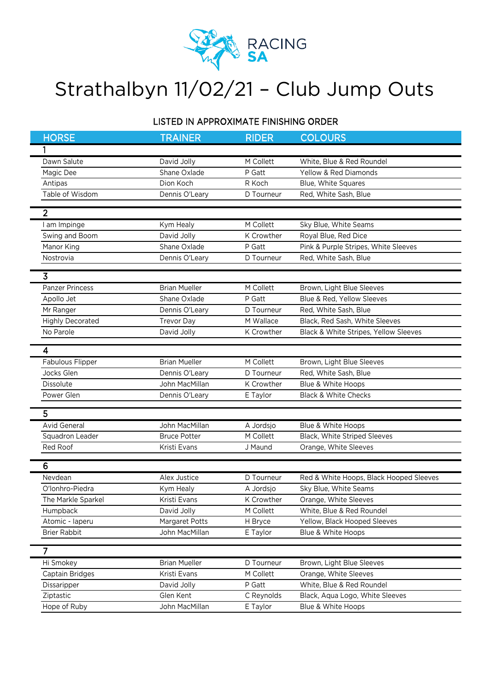

## Strathalbyn 11/02/21 – Club Jump Outs

## LISTED IN APPROXIMATE FINISHING ORDER

|  | <b>HORSE</b>            | <b>TRAINER</b>       | <b>RIDER</b> | <b>COLOURS</b>                          |
|--|-------------------------|----------------------|--------------|-----------------------------------------|
|  |                         |                      |              |                                         |
|  | Dawn Salute             | David Jolly          | M Collett    | White, Blue & Red Roundel               |
|  | Magic Dee               | Shane Oxlade         | P Gatt       | <b>Yellow &amp; Red Diamonds</b>        |
|  | Antipas                 | Dion Koch            | R Koch       | Blue, White Squares                     |
|  | Table of Wisdom         | Dennis O'Leary       | D Tourneur   | Red, White Sash, Blue                   |
|  |                         |                      |              |                                         |
|  | $\overline{2}$          |                      |              |                                         |
|  | am Impinge              | Kym Healy            | M Collett    | Sky Blue, White Seams                   |
|  | Swing and Boom          | David Jolly          | K Crowther   | Royal Blue, Red Dice                    |
|  | Manor King              | Shane Oxlade         | P Gatt       | Pink & Purple Stripes, White Sleeves    |
|  | Nostrovia               | Dennis O'Leary       | D Tourneur   | Red, White Sash, Blue                   |
|  | 3                       |                      |              |                                         |
|  | <b>Panzer Princess</b>  | <b>Brian Mueller</b> | M Collett    | Brown, Light Blue Sleeves               |
|  | Apollo Jet              | Shane Oxlade         | P Gatt       | Blue & Red, Yellow Sleeves              |
|  | Mr Ranger               | Dennis O'Leary       | D Tourneur   | Red, White Sash, Blue                   |
|  | <b>Highly Decorated</b> | <b>Trevor Day</b>    | M Wallace    | Black, Red Sash, White Sleeves          |
|  | No Parole               | David Jolly          | K Crowther   | Black & White Stripes, Yellow Sleeves   |
|  |                         |                      |              |                                         |
|  | 4                       |                      |              |                                         |
|  | Fabulous Flipper        | <b>Brian Mueller</b> | M Collett    | Brown, Light Blue Sleeves               |
|  | Jocks Glen              | Dennis O'Leary       | D Tourneur   | Red, White Sash, Blue                   |
|  | Dissolute               | John MacMillan       | K Crowther   | Blue & White Hoops                      |
|  | Power Glen              | Dennis O'Leary       | E Taylor     | <b>Black &amp; White Checks</b>         |
|  | 5                       |                      |              |                                         |
|  | <b>Avid General</b>     | John MacMillan       | A Jordsjo    | Blue & White Hoops                      |
|  | Squadron Leader         | <b>Bruce Potter</b>  | M Collett    | Black, White Striped Sleeves            |
|  | Red Roof                | Kristi Evans         | J Maund      | Orange, White Sleeves                   |
|  |                         |                      |              |                                         |
|  | 6                       |                      |              |                                         |
|  | Nevdean                 | Alex Justice         | D Tourneur   | Red & White Hoops, Black Hooped Sleeves |
|  | O'lonhro-Piedra         | Kym Healy            | A Jordsjo    | Sky Blue, White Seams                   |
|  | The Markle Sparkel      | Kristi Evans         | K Crowther   | Orange, White Sleeves                   |
|  | Humpback                | David Jolly          | M Collett    | White, Blue & Red Roundel               |
|  | Atomic - laperu         | Margaret Potts       | H Bryce      | Yellow, Black Hooped Sleeves            |
|  | <b>Brier Rabbit</b>     | John MacMillan       | E Taylor     | Blue & White Hoops                      |
|  | $\overline{7}$          |                      |              |                                         |
|  |                         |                      |              |                                         |
|  | Hi Smokey               | <b>Brian Mueller</b> | D Tourneur   | Brown, Light Blue Sleeves               |
|  | Captain Bridges         | Kristi Evans         | M Collett    | Orange, White Sleeves                   |
|  | Dissaripper             | David Jolly          | P Gatt       | White, Blue & Red Roundel               |
|  | Ziptastic               | Glen Kent            | C Reynolds   | Black, Aqua Logo, White Sleeves         |
|  | Hope of Ruby            | John MacMillan       | E Taylor     | Blue & White Hoops                      |